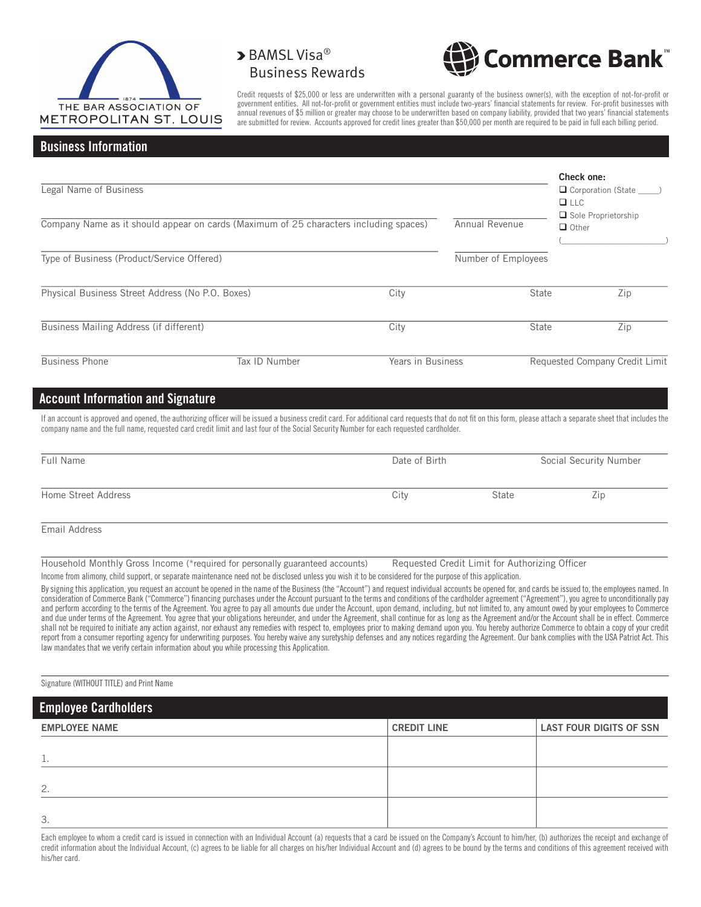

## > BAMSL Visa® Business Rewards



Credit requests of \$25,000 or less are underwritten with a personal guaranty of the business owner(s), with the exception of not-for-profit or government entities. All not-for-profit or government entities must include two-years' financial statements for review. For-profit businesses with annual revenues of \$5 million or greater may choose to be underwritten based on company liability, provided that two years' financial statements are submitted for review. Accounts approved for credit lines greater than \$50,000 per month are required to be paid in full each billing period.

#### Business Information

| Legal Name of Business                                                                |               |                   |                     | Check one:<br>$\Box$ Corporation (State $\rule{1em}{0.15mm}$ )<br>$\Box$ LLC<br>$\Box$ Sole Proprietorship |  |
|---------------------------------------------------------------------------------------|---------------|-------------------|---------------------|------------------------------------------------------------------------------------------------------------|--|
| Company Name as it should appear on cards (Maximum of 25 characters including spaces) |               |                   | Annual Revenue      | $\Box$ Other                                                                                               |  |
| Type of Business (Product/Service Offered)                                            |               |                   | Number of Employees |                                                                                                            |  |
| Physical Business Street Address (No P.O. Boxes)                                      |               | City              | <b>State</b>        | Zip                                                                                                        |  |
| Business Mailing Address (if different)                                               |               | City              | State               | Zip                                                                                                        |  |
| <b>Business Phone</b>                                                                 | Tax ID Number | Years in Business |                     | Requested Company Credit Limit                                                                             |  |

## Account Information and Signature

If an account is approved and opened, the authorizing officer will be issued a business credit card. For additional card requests that do not fit on this form, please attach a separate sheet that includes the company name and the full name, requested card credit limit and last four of the Social Security Number for each requested cardholder.

| Full Name           | Date of Birth |       | Social Security Number |  |
|---------------------|---------------|-------|------------------------|--|
| Home Street Address | City          | State | Zip                    |  |
| Email Address       |               |       |                        |  |

Household Monthly Gross Income (\*required for personally guaranteed accounts) Requested Credit Limit for Authorizing Officer

Income from alimony, child support, or separate maintenance need not be disclosed unless you wish it to be considered for the purpose of this application.

By signing this application, you request an account be opened in the name of the Business (the "Account") and request individual accounts be opened for, and cards be issued to, the employees named. In consideration of Commerce Bank ("Commerce") financing purchases under the Account pursuant to the terms and conditions of the cardholder agreement ("Agreement"), you agree to unconditionally pay and perform according to the terms of the Agreement. You agree to pay all amounts due under the Account, upon demand, including, but not limited to, any amount owed by your employees to Commerce and due under terms of the Agreement. You agree that your obligations hereunder, and under the Agreement, shall continue for as long as the Agreement and/or the Account shall be in effect. Commerce shall not be required to initiate any action against, nor exhaust any remedies with respect to, employees prior to making demand upon you. You hereby authorize Commerce to obtain a copy of your credit report from a consumer reporting agency for underwriting purposes. You hereby waive any suretyship defenses and any notices regarding the Agreement. Our bank complies with the USA Patriot Act. This law mandates that we verify certain information about you while processing this Application.

Signature (WITHOUT TITLE) and Print Name

| <b>Employee Cardholders</b> |                    |                                |  |  |
|-----------------------------|--------------------|--------------------------------|--|--|
| <b>EMPLOYEE NAME</b>        | <b>CREDIT LINE</b> | <b>LAST FOUR DIGITS OF SSN</b> |  |  |
| <b>L.</b>                   |                    |                                |  |  |
| 2.                          |                    |                                |  |  |
| 3.                          |                    |                                |  |  |

Each employee to whom a credit card is issued in connection with an Individual Account (a) requests that a card be issued on the Company's Account to him/her, (b) authorizes the receipt and exchange of credit information about the Individual Account, (c) agrees to be liable for all charges on his/her Individual Account and (d) agrees to be bound by the terms and conditions of this agreement received with his/her card.